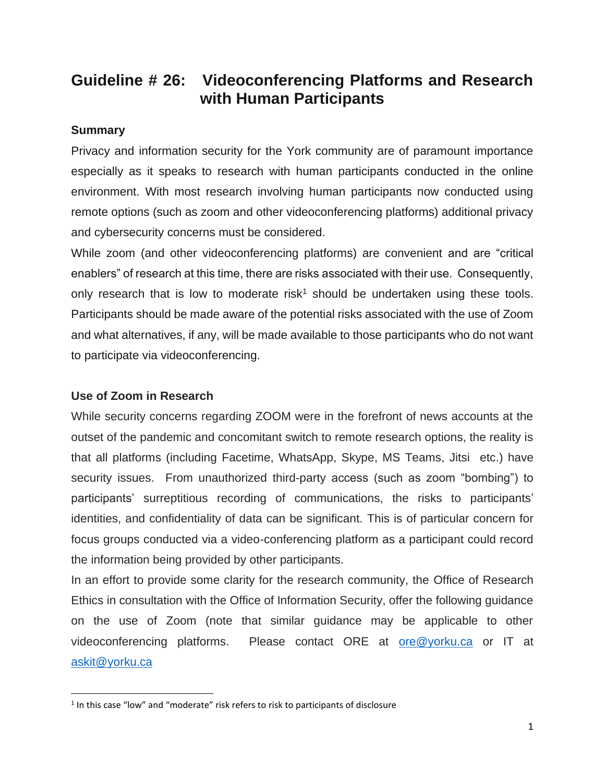# **Guideline # 26: Videoconferencing Platforms and Research with Human Participants**

#### **Summary**

Privacy and information security for the York community are of paramount importance especially as it speaks to research with human participants conducted in the online environment. With most research involving human participants now conducted using remote options (such as zoom and other videoconferencing platforms) additional privacy and cybersecurity concerns must be considered.

While zoom (and other videoconferencing platforms) are convenient and are "critical enablers" of research at this time, there are risks associated with their use. Consequently, only research that is low to moderate risk<sup>1</sup> should be undertaken using these tools. Participants should be made aware of the potential risks associated with the use of Zoom and what alternatives, if any, will be made available to those participants who do not want to participate via videoconferencing.

## **Use of Zoom in Research**

While security concerns regarding ZOOM were in the forefront of news accounts at the outset of the pandemic and concomitant switch to remote research options, the reality is that all platforms (including Facetime, WhatsApp, Skype, MS Teams, Jitsi etc.) have security issues. From unauthorized third-party access (such as zoom "bombing") to participants' surreptitious recording of communications, the risks to participants' identities, and confidentiality of data can be significant. This is of particular concern for focus groups conducted via a video-conferencing platform as a participant could record the information being provided by other participants.

In an effort to provide some clarity for the research community, the Office of Research Ethics in consultation with the Office of Information Security, offer the following guidance on the use of Zoom (note that similar guidance may be applicable to other videoconferencing platforms. Please contact ORE at [ore@yorku.ca](mailto:ore@yorku.ca) or IT at [askit@yorku.ca](mailto:askit@yorku.ca)

 $<sup>1</sup>$  In this case "low" and "moderate" risk refers to risk to participants of disclosure</sup>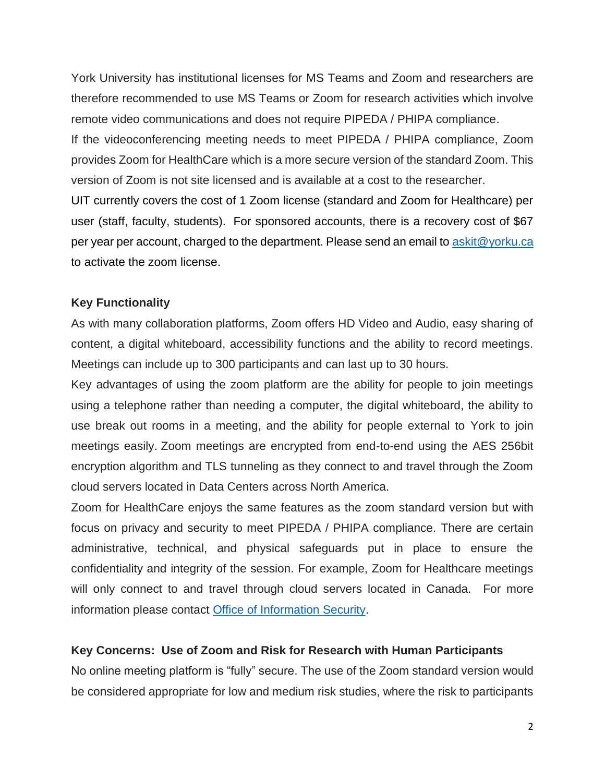York University has institutional licenses for MS Teams and Zoom and researchers are therefore recommended to use MS Teams or Zoom for research activities which involve remote video communications and does not require PIPEDA / PHIPA compliance.

If the videoconferencing meeting needs to meet PIPEDA / PHIPA compliance, Zoom provides Zoom for HealthCare which is a more secure version of the standard Zoom. This version of Zoom is not site licensed and is available at a cost to the researcher.

UIT currently covers the cost of 1 Zoom license (standard and Zoom for Healthcare) per user (staff, faculty, students). For sponsored accounts, there is a recovery cost of \$67 per year per account, charged to the department. Please send an email to [askit@yorku.ca](mailto:askit@yorku.ca) to activate the zoom license.

## **Key Functionality**

As with many collaboration platforms, Zoom offers HD Video and Audio, easy sharing of content, a digital whiteboard, accessibility functions and the ability to record meetings. Meetings can include up to 300 participants and can last up to 30 hours.

Key advantages of using the zoom platform are the ability for people to join meetings using a telephone rather than needing a computer, the digital whiteboard, the ability to use break out rooms in a meeting, and the ability for people external to York to join meetings easily. Zoom meetings are encrypted from end-to-end using the AES 256bit encryption algorithm and TLS tunneling as they connect to and travel through the Zoom cloud servers located in Data Centers across North America.

Zoom for HealthCare enjoys the same features as the zoom standard version but with focus on privacy and security to meet PIPEDA / PHIPA compliance. There are certain administrative, technical, and physical safeguards put in place to ensure the confidentiality and integrity of the session. For example, Zoom for Healthcare meetings will only connect to and travel through cloud servers located in Canada. For more information please contact [Office of Information Security.](https://infosec.yorku.ca/)

## **Key Concerns: Use of Zoom and Risk for Research with Human Participants**

No online meeting platform is "fully" secure. The use of the Zoom standard version would be considered appropriate for low and medium risk studies, where the risk to participants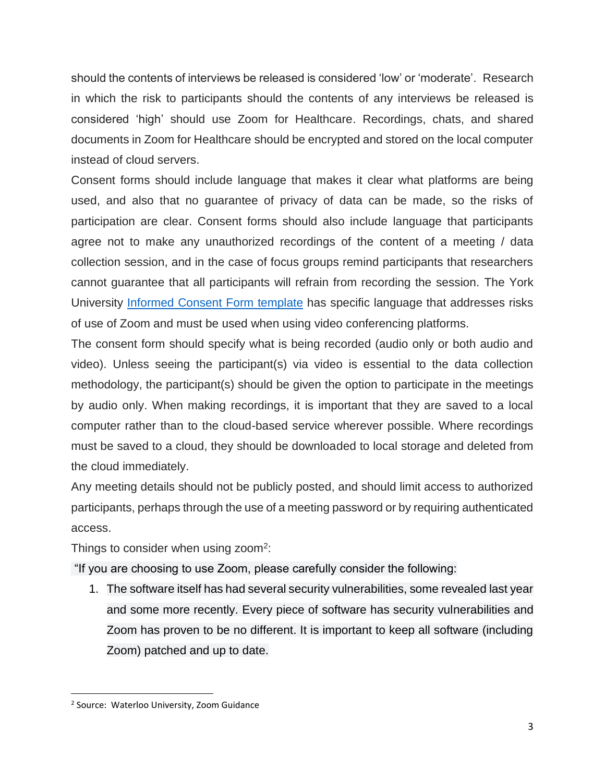should the contents of interviews be released is considered 'low' or 'moderate'. Research in which the risk to participants should the contents of any interviews be released is considered 'high' should use Zoom for Healthcare. Recordings, chats, and shared documents in Zoom for Healthcare should be encrypted and stored on the local computer instead of cloud servers.

Consent forms should include language that makes it clear what platforms are being used, and also that no guarantee of privacy of data can be made, so the risks of participation are clear. Consent forms should also include language that participants agree not to make any unauthorized recordings of the content of a meeting / data collection session, and in the case of focus groups remind participants that researchers cannot guarantee that all participants will refrain from recording the session. The York University [Informed Consent Form template](https://www.yorku.ca/research/wp-content/uploads/sites/39/2020/10/Informed-Consent-Form-Template-Student-Version-Oct-2020.docx) has specific language that addresses risks of use of Zoom and must be used when using video conferencing platforms.

The consent form should specify what is being recorded (audio only or both audio and video). Unless seeing the participant(s) via video is essential to the data collection methodology, the participant(s) should be given the option to participate in the meetings by audio only. When making recordings, it is important that they are saved to a local computer rather than to the cloud-based service wherever possible. Where recordings must be saved to a cloud, they should be downloaded to local storage and deleted from the cloud immediately.

Any meeting details should not be publicly posted, and should limit access to authorized participants, perhaps through the use of a meeting password or by requiring authenticated access.

Things to consider when using zoom<sup>2</sup>:

"If you are choosing to use Zoom, please carefully consider the following:

1. The software itself has had several security vulnerabilities, some revealed last year and some more recently. Every piece of software has security vulnerabilities and Zoom has proven to be no different. It is important to keep all software (including Zoom) patched and up to date.

<sup>2</sup> Source: Waterloo University, Zoom Guidance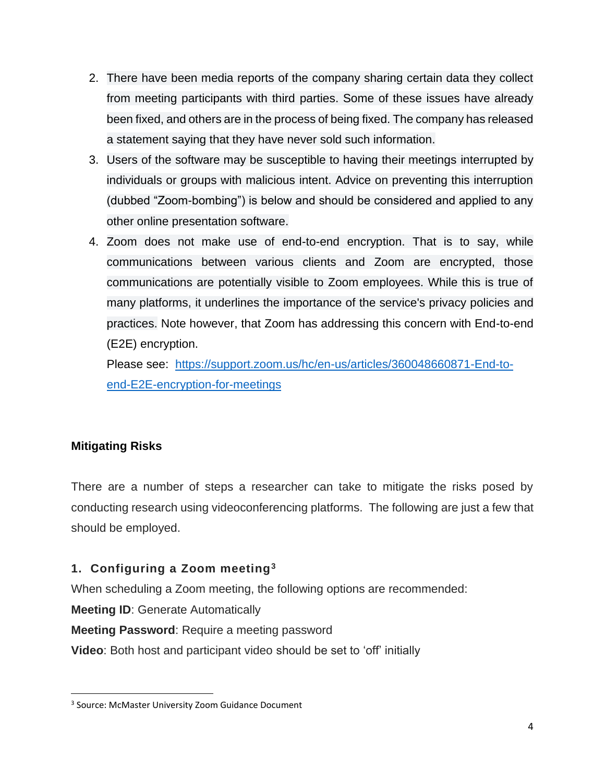- 2. There have been media reports of the company sharing certain data they collect from meeting participants with third parties. Some of these issues have already been fixed, and others are in the process of being fixed. The company has released a statement saying that they have never sold such information.
- 3. Users of the software may be susceptible to having their meetings interrupted by individuals or groups with malicious intent. Advice on preventing this interruption (dubbed "Zoom-bombing") is below and should be considered and applied to any other online presentation software.
- 4. Zoom does not make use of end-to-end encryption. That is to say, while communications between various clients and Zoom are encrypted, those communications are potentially visible to Zoom employees. While this is true of many platforms, it underlines the importance of the service's privacy policies and practices. Note however, that Zoom has addressing this concern with End-to-end (E2E) encryption.

Please see: [https://support.zoom.us/hc/en-us/articles/360048660871-End-to](https://support.zoom.us/hc/en-us/articles/360048660871-End-to-end-E2E-encryption-for-meetings)[end-E2E-encryption-for-meetings](https://support.zoom.us/hc/en-us/articles/360048660871-End-to-end-E2E-encryption-for-meetings)

## **Mitigating Risks**

There are a number of steps a researcher can take to mitigate the risks posed by conducting research using videoconferencing platforms. The following are just a few that should be employed.

## **1. Configuring a Zoom meeting<sup>3</sup>**

When scheduling a Zoom meeting, the following options are recommended:

**Meeting ID**: Generate Automatically

**Meeting Password**: Require a meeting password

**Video**: Both host and participant video should be set to 'off' initially

<sup>&</sup>lt;sup>3</sup> Source: McMaster University Zoom Guidance Document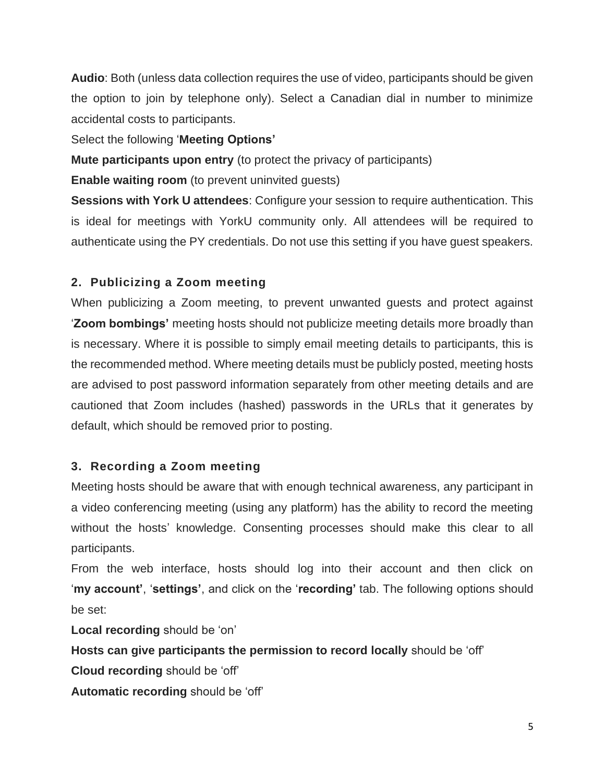**Audio**: Both (unless data collection requires the use of video, participants should be given the option to join by telephone only). Select a Canadian dial in number to minimize accidental costs to participants.

Select the following '**Meeting Options'**

**Mute participants upon entry** (to protect the privacy of participants)

**Enable waiting room** (to prevent uninvited quests)

**Sessions with York U attendees**: Configure your session to require authentication. This is ideal for meetings with YorkU community only. All attendees will be required to authenticate using the PY credentials. Do not use this setting if you have guest speakers.

## **2. Publicizing a Zoom meeting**

When publicizing a Zoom meeting, to prevent unwanted guests and protect against '**Zoom bombings'** meeting hosts should not publicize meeting details more broadly than is necessary. Where it is possible to simply email meeting details to participants, this is the recommended method. Where meeting details must be publicly posted, meeting hosts are advised to post password information separately from other meeting details and are cautioned that Zoom includes (hashed) passwords in the URLs that it generates by default, which should be removed prior to posting.

## **3. Recording a Zoom meeting**

Meeting hosts should be aware that with enough technical awareness, any participant in a video conferencing meeting (using any platform) has the ability to record the meeting without the hosts' knowledge. Consenting processes should make this clear to all participants.

From the web interface, hosts should log into their account and then click on '**my account'**, '**settings'**, and click on the '**recording'** tab. The following options should be set:

**Local recording** should be 'on'

**Hosts can give participants the permission to record locally** should be 'off'

**Cloud recording** should be 'off'

**Automatic recording** should be 'off'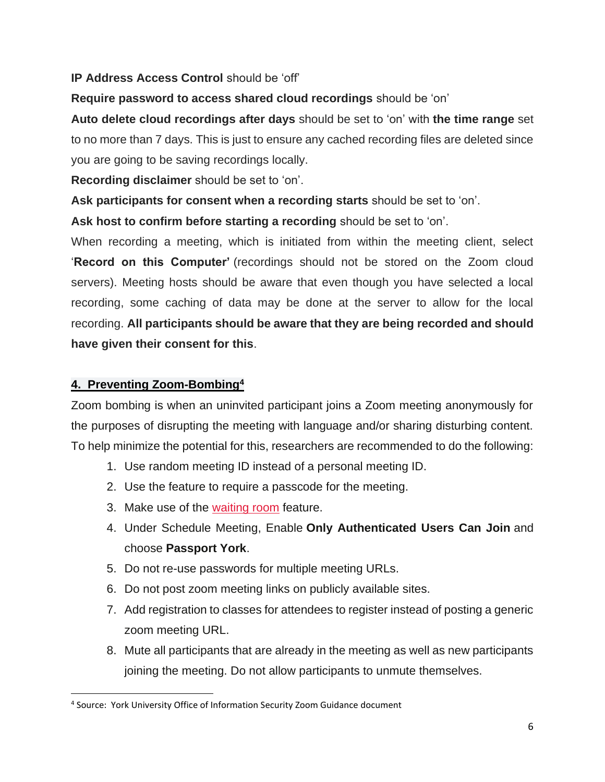## **IP Address Access Control** should be 'off'

## **Require password to access shared cloud recordings** should be 'on'

**Auto delete cloud recordings after days** should be set to 'on' with **the time range** set to no more than 7 days. This is just to ensure any cached recording files are deleted since you are going to be saving recordings locally.

**Recording disclaimer** should be set to 'on'.

**Ask participants for consent when a recording starts** should be set to 'on'.

**Ask host to confirm before starting a recording** should be set to 'on'.

When recording a meeting, which is initiated from within the meeting client, select '**Record on this Computer'** (recordings should not be stored on the Zoom cloud servers). Meeting hosts should be aware that even though you have selected a local recording, some caching of data may be done at the server to allow for the local recording. **All participants should be aware that they are being recorded and should have given their consent for this**.

## **4. Preventing Zoom-Bombing<sup>4</sup>**

Zoom bombing is when an uninvited participant joins a Zoom meeting anonymously for the purposes of disrupting the meeting with language and/or sharing disturbing content. To help minimize the potential for this, researchers are recommended to do the following:

- 1. Use random meeting ID instead of a personal meeting ID.
- 2. Use the feature to require a passcode for the meeting.
- 3. Make use of the [waiting room](https://blog.zoom.us/wordpress/2020/02/14/secure-your-meetings-zoom-waiting-rooms/?zcid=1231) feature.
- 4. Under Schedule Meeting, Enable **Only Authenticated Users Can Join** and choose **Passport York**.
- 5. Do not re-use passwords for multiple meeting URLs.
- 6. Do not post zoom meeting links on publicly available sites.
- 7. Add registration to classes for attendees to register instead of posting a generic zoom meeting URL.
- 8. Mute all participants that are already in the meeting as well as new participants joining the meeting. Do not allow participants to unmute themselves.

<sup>4</sup> Source: York University Office of Information Security Zoom Guidance document